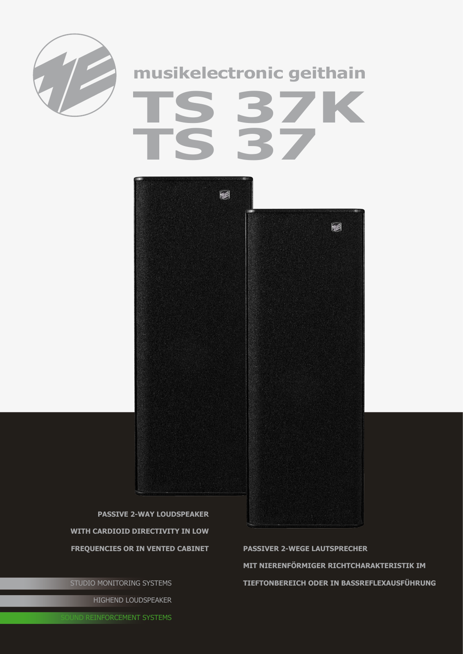

## musikelectronic geithain



**PASSIVE 2-WAY LOUDSPEAKER** WITH CARDIOID DIRECTIVITY IN LOW **FREQUENCIES OR IN VENTED CABINET** 

STUDIO MONITORING SYSTEMS HIGHEND LOUDSPEAKER

**PASSIVER 2-WEGE LAUTSPRECHER** MIT NIERENFÖRMIGER RICHTCHARAKTERISTIK IM TIEFTONBEREICH ODER IN BASSREFLEXAUSFÜHRUNG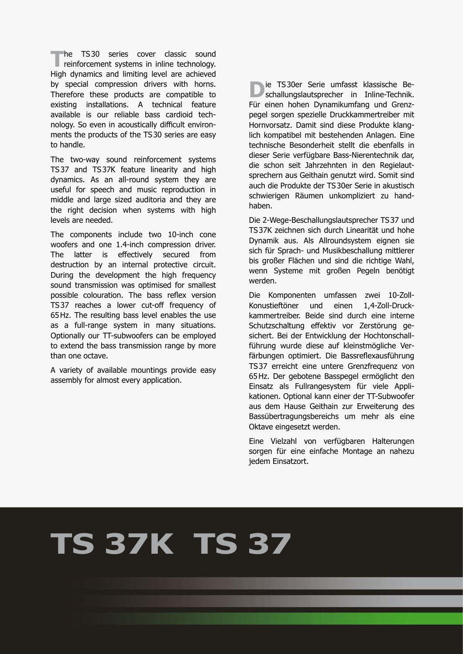The TS30 series cover classic sound<br>
reinforcement systems in inline technology.<br>
High denomine and limitian land are achieved. High dynamics and limiting level are achieved by special compression drivers with horns. Therefore these products are compatible to existing installations. A technical feature available is our reliable bass cardioid technology. So even in acoustically difficult environments the products of the TS30 series are easy to handle.

The two-way sound reinforcement systems TS37 and TS37K feature linearity and high dynamics. As an all-round system they are useful for speech and music reproduction in middle and large sized auditoria and they are the right decision when systems with high levels are needed.

The components include two 10-inch cone woofers and one 1.4-inch compression driver. The latter is effectively secured from destruction by an internal protective circuit. During the development the high frequency sound transmission was optimised for smallest possible colouration. The bass reflex version TS37 reaches a lower cut-off frequency of 65Hz. The resulting bass level enables the use as a full-range system in many situations. Optionally our TT-subwoofers can be employed to extend the bass transmission range by more than one octave.

A variety of available mountings provide easy assembly for almost every application.

**D**ie TS30er Serie umfasst klassische Be-<br>
schallungslautsprecher in Inline-Technik. Für einen hohen Dynamikumfang und Grenzpegel sorgen spezielle Druckkammertreiber mit Hornvorsatz. Damit sind diese Produkte klanglich kompatibel mit bestehenden Anlagen. Eine technische Besonderheit stellt die ebenfalls in dieser Serie verfügbare Bass-Nierentechnik dar, die schon seit Jahrzehnten in den Regielautsprechern aus Geithain genutzt wird. Somit sind auch die Produkte der TS30er Serie in akustisch schwierigen Räumen unkompliziert zu handhaben.

Die 2-Wege-Beschallungslautsprecher TS37 und TS37K zeichnen sich durch Linearität und hohe Dynamik aus. Als Allroundsystem eignen sie sich für Sprach- und Musikbeschallung mittlerer bis großer Flächen und sind die richtige Wahl, wenn Systeme mit großen Pegeln benötigt werden.

Die Komponenten umfassen zwei 10-Zoll-Konustieftöner und einen 1,4-Zoll-Druckkammertreiber. Beide sind durch eine interne Schutzschaltung effektiv vor Zerstörung ge sichert. Bei der Entwicklung der Hochtonschallführung wurde diese auf kleinstmögliche Verfärbungen optimiert. Die Bassreflexausführung TS37 erreicht eine untere Grenzfrequenz von 65Hz. Der gebotene Basspegel ermöglicht den Einsatz als Fullrangesystem für viele Applikationen. Optional kann einer der TT-Subwoofer aus dem Hause Geithain zur Erweiterung des Bassübertragungsbereichs um mehr als eine Oktave eingesetzt werden.

Eine Vielzahl von verfügbaren Halterungen sorgen für eine einfache Montage an nahezu jedem Einsatzort.

## **TS 37K TS 37**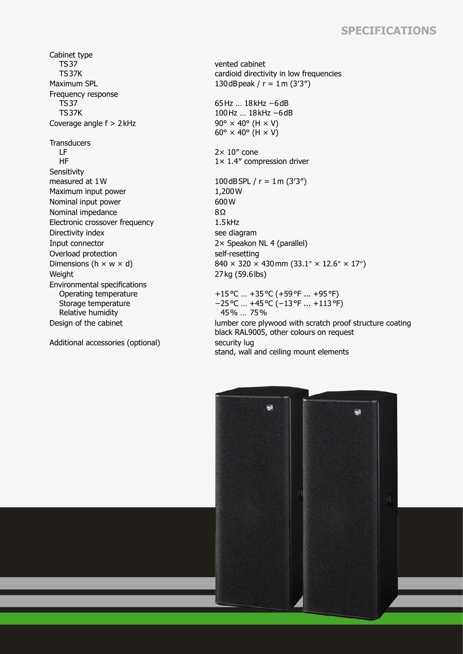## **Specifications**

Cabinet type TS37 TS37K Maximum SPL  $130\,\text{dB}$  peak / r = 1m (3'3") Frequency response TS37 TS37K Coverage angle  $f > 2$  kHz 90°  $\times$  40° (H  $\times$  V) **Transducers**  LF HF **Sensitivity** measured at  $1 \text{W}$  100dBSPL / r =  $1 \text{m} (3'3'')$ Maximum input power 1,200 W<br>Nominal input power 600 W Nominal input power Nominal impedance 8Ω Electronic crossover frequency 1.5kHz Directivity index see diagram Input connector 2× Speakon NL 4 (parallel) Overload protection self-resetting Weight 27 kg (59.6 lbs) Environmental specifications Operating temperature Storage temperature Relative humidity

Additional accessories (optional) security lug

vented cabinet cardioid directivity in low frequencies

65Hz … 18kHz −6dB 100Hz … 18kHz −6dB  $60^\circ \times 40^\circ$  (H  $\times$  V)

 $2 \times 10''$  cone 1× 1.4″ compression driver

Dimensions (h  $\times$  w  $\times$  d) 840  $\times$  320  $\times$  430 mm (33.1"  $\times$  12.6"  $\times$  17") +15°C … +35°C (+59°F ... +95°F) −25°C … +45°C (−13°F ... +113°F) 45% … 75%

Design of the cabinet lumber core plywood with scratch proof structure coating black RAL9005, other colours on request stand, wall and ceiling mount elements